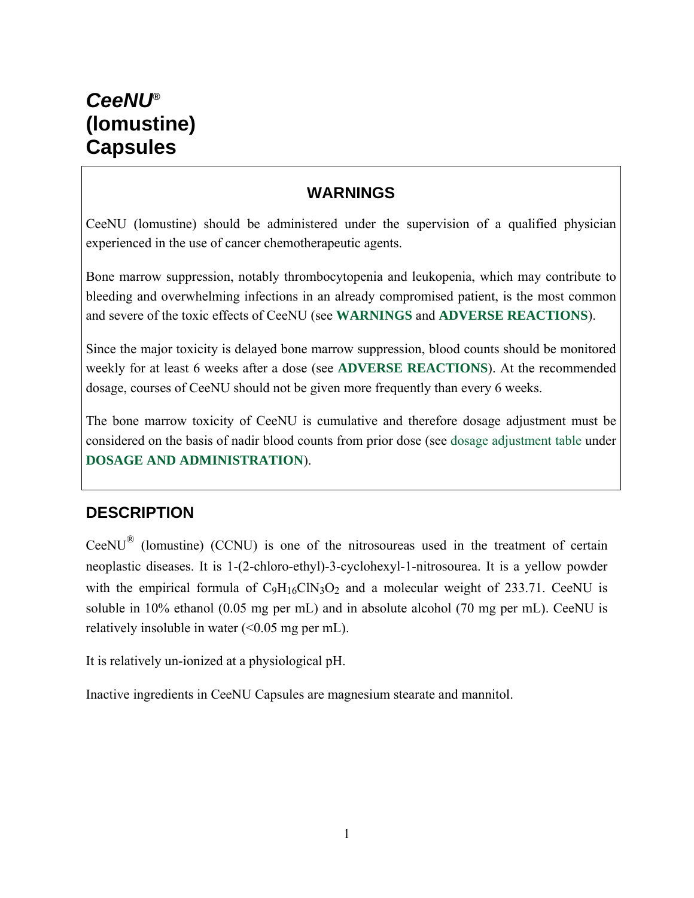#### **WARNINGS**

CeeNU (lomustine) should be administered under the supervision of a qualified physician experienced in the use of cancer chemotherapeutic agents.

Bone marrow suppression, notably thrombocytopenia and leukopenia, which may contribute to bleeding and overwhelming infections in an already compromised patient, is the most common and severe of the toxic effects of CeeNU (see **WARNINGS** and **ADVERSE REACTIONS**).

Since the major toxicity is delayed bone marrow suppression, blood counts should be monitored weekly for at least 6 weeks after a dose (see **ADVERSE REACTIONS**). At the recommended dosage, courses of CeeNU should not be given more frequently than every 6 weeks.

The bone marrow toxicity of CeeNU is cumulative and therefore dosage adjustment must be considered on the basis of nadir blood counts from prior dose (see dosage adjustment table under **DOSAGE AND ADMINISTRATION**).

## **DESCRIPTION**

CeeNU® (lomustine) (CCNU) is one of the nitrosoureas used in the treatment of certain neoplastic diseases. It is 1-(2-chloro-ethyl)-3-cyclohexyl-1-nitrosourea. It is a yellow powder with the empirical formula of  $C_9H_{16}CN_3O_2$  and a molecular weight of 233.71. CeeNU is soluble in 10% ethanol (0.05 mg per mL) and in absolute alcohol (70 mg per mL). CeeNU is relatively insoluble in water  $( $0.05 \text{ mg per mL}$ ).$ 

It is relatively un-ionized at a physiological pH.

Inactive ingredients in CeeNU Capsules are magnesium stearate and mannitol.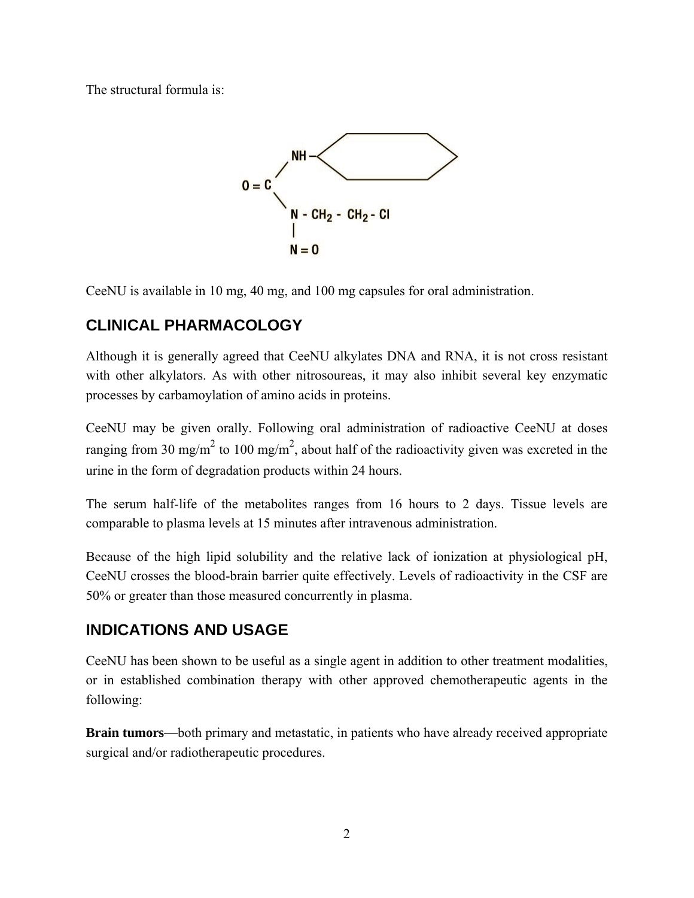The structural formula is:



CeeNU is available in 10 mg, 40 mg, and 100 mg capsules for oral administration.

# **CLINICAL PHARMACOLOGY**

Although it is generally agreed that CeeNU alkylates DNA and RNA, it is not cross resistant with other alkylators. As with other nitrosoureas, it may also inhibit several key enzymatic processes by carbamoylation of amino acids in proteins.

CeeNU may be given orally. Following oral administration of radioactive CeeNU at doses ranging from 30 mg/m<sup>2</sup> to 100 mg/m<sup>2</sup>, about half of the radioactivity given was excreted in the urine in the form of degradation products within 24 hours.

The serum half-life of the metabolites ranges from 16 hours to 2 days. Tissue levels are comparable to plasma levels at 15 minutes after intravenous administration.

Because of the high lipid solubility and the relative lack of ionization at physiological pH, CeeNU crosses the blood-brain barrier quite effectively. Levels of radioactivity in the CSF are 50% or greater than those measured concurrently in plasma.

## **INDICATIONS AND USAGE**

CeeNU has been shown to be useful as a single agent in addition to other treatment modalities, or in established combination therapy with other approved chemotherapeutic agents in the following:

**Brain tumors**—both primary and metastatic, in patients who have already received appropriate surgical and/or radiotherapeutic procedures.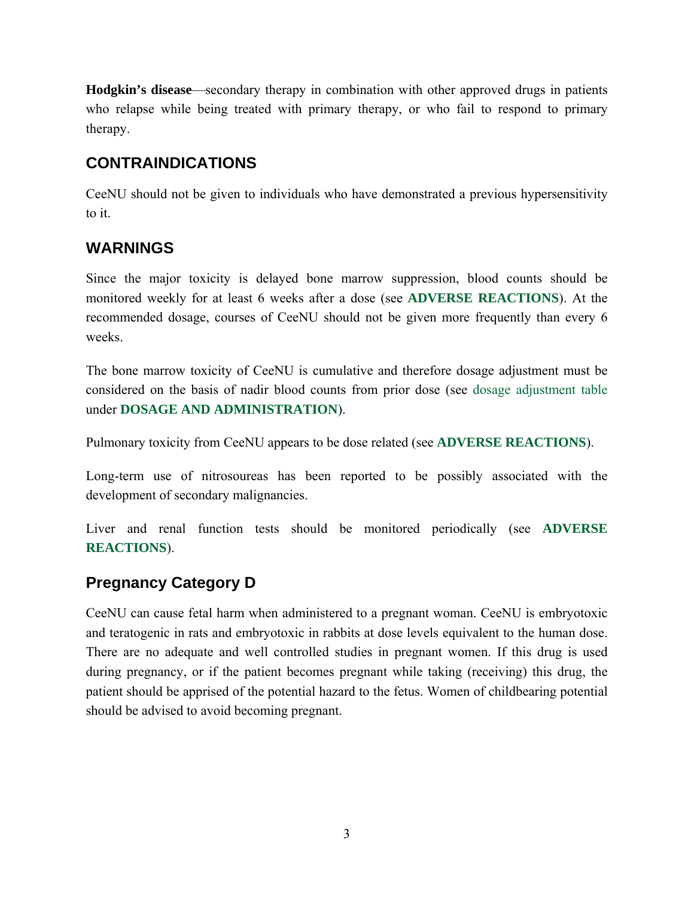**Hodgkin's disease**—secondary therapy in combination with other approved drugs in patients who relapse while being treated with primary therapy, or who fail to respond to primary therapy.

## **CONTRAINDICATIONS**

CeeNU should not be given to individuals who have demonstrated a previous hypersensitivity to it.

## **WARNINGS**

Since the major toxicity is delayed bone marrow suppression, blood counts should be monitored weekly for at least 6 weeks after a dose (see **ADVERSE REACTIONS**). At the recommended dosage, courses of CeeNU should not be given more frequently than every 6 weeks.

The bone marrow toxicity of CeeNU is cumulative and therefore dosage adjustment must be considered on the basis of nadir blood counts from prior dose (see dosage adjustment table under **DOSAGE AND ADMINISTRATION**).

Pulmonary toxicity from CeeNU appears to be dose related (see **ADVERSE REACTIONS**).

Long-term use of nitrosoureas has been reported to be possibly associated with the development of secondary malignancies.

Liver and renal function tests should be monitored periodically (see **ADVERSE REACTIONS**).

## **Pregnancy Category D**

CeeNU can cause fetal harm when administered to a pregnant woman. CeeNU is embryotoxic and teratogenic in rats and embryotoxic in rabbits at dose levels equivalent to the human dose. There are no adequate and well controlled studies in pregnant women. If this drug is used during pregnancy, or if the patient becomes pregnant while taking (receiving) this drug, the patient should be apprised of the potential hazard to the fetus. Women of childbearing potential should be advised to avoid becoming pregnant.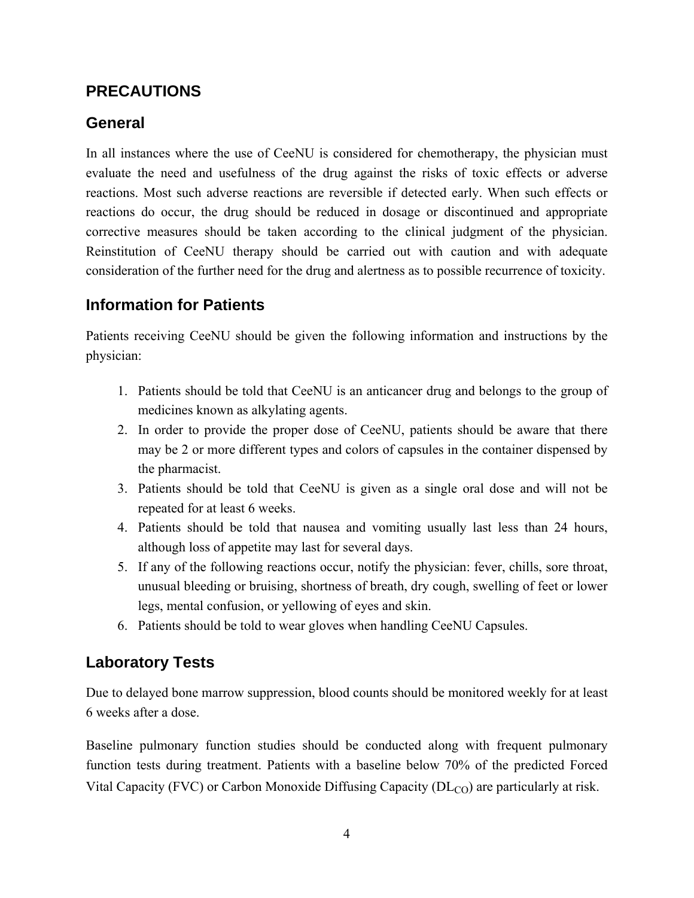#### **PRECAUTIONS**

## **General**

In all instances where the use of CeeNU is considered for chemotherapy, the physician must evaluate the need and usefulness of the drug against the risks of toxic effects or adverse reactions. Most such adverse reactions are reversible if detected early. When such effects or reactions do occur, the drug should be reduced in dosage or discontinued and appropriate corrective measures should be taken according to the clinical judgment of the physician. Reinstitution of CeeNU therapy should be carried out with caution and with adequate consideration of the further need for the drug and alertness as to possible recurrence of toxicity.

## **Information for Patients**

Patients receiving CeeNU should be given the following information and instructions by the physician:

- 1. Patients should be told that CeeNU is an anticancer drug and belongs to the group of medicines known as alkylating agents.
- 2. In order to provide the proper dose of CeeNU, patients should be aware that there may be 2 or more different types and colors of capsules in the container dispensed by the pharmacist.
- 3. Patients should be told that CeeNU is given as a single oral dose and will not be repeated for at least 6 weeks.
- 4. Patients should be told that nausea and vomiting usually last less than 24 hours, although loss of appetite may last for several days.
- 5. If any of the following reactions occur, notify the physician: fever, chills, sore throat, unusual bleeding or bruising, shortness of breath, dry cough, swelling of feet or lower legs, mental confusion, or yellowing of eyes and skin.
- 6. Patients should be told to wear gloves when handling CeeNU Capsules.

#### **Laboratory Tests**

Due to delayed bone marrow suppression, blood counts should be monitored weekly for at least 6 weeks after a dose.

Baseline pulmonary function studies should be conducted along with frequent pulmonary function tests during treatment. Patients with a baseline below 70% of the predicted Forced Vital Capacity (FVC) or Carbon Monoxide Diffusing Capacity ( $DL<sub>CO</sub>$ ) are particularly at risk.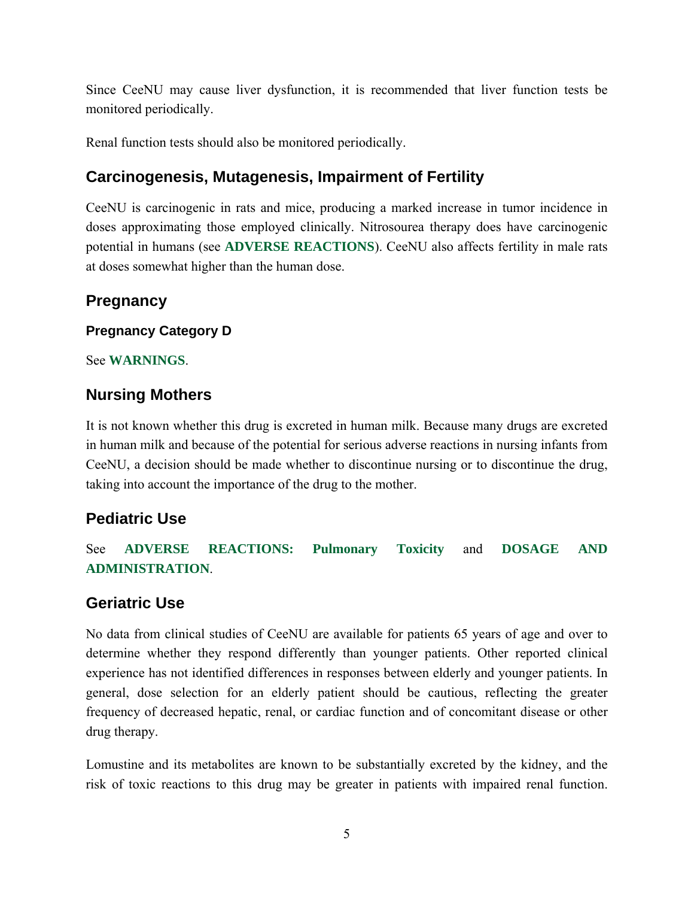Since CeeNU may cause liver dysfunction, it is recommended that liver function tests be monitored periodically.

Renal function tests should also be monitored periodically.

## **Carcinogenesis, Mutagenesis, Impairment of Fertility**

CeeNU is carcinogenic in rats and mice, producing a marked increase in tumor incidence in doses approximating those employed clinically. Nitrosourea therapy does have carcinogenic potential in humans (see **ADVERSE REACTIONS**). CeeNU also affects fertility in male rats at doses somewhat higher than the human dose.

## **Pregnancy**

#### **Pregnancy Category D**

See **WARNINGS**.

#### **Nursing Mothers**

It is not known whether this drug is excreted in human milk. Because many drugs are excreted in human milk and because of the potential for serious adverse reactions in nursing infants from CeeNU, a decision should be made whether to discontinue nursing or to discontinue the drug, taking into account the importance of the drug to the mother.

## **Pediatric Use**

See **ADVERSE REACTIONS: Pulmonary Toxicity** and **DOSAGE AND ADMINISTRATION**.

## **Geriatric Use**

No data from clinical studies of CeeNU are available for patients 65 years of age and over to determine whether they respond differently than younger patients. Other reported clinical experience has not identified differences in responses between elderly and younger patients. In general, dose selection for an elderly patient should be cautious, reflecting the greater frequency of decreased hepatic, renal, or cardiac function and of concomitant disease or other drug therapy.

Lomustine and its metabolites are known to be substantially excreted by the kidney, and the risk of toxic reactions to this drug may be greater in patients with impaired renal function.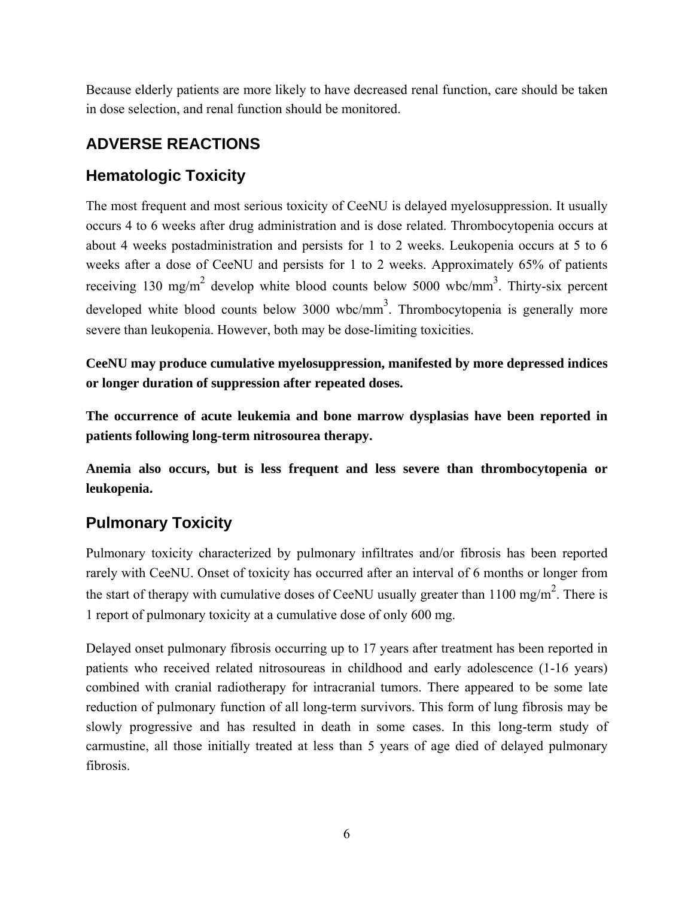Because elderly patients are more likely to have decreased renal function, care should be taken in dose selection, and renal function should be monitored.

# **ADVERSE REACTIONS**

# **Hematologic Toxicity**

The most frequent and most serious toxicity of CeeNU is delayed myelosuppression. It usually occurs 4 to 6 weeks after drug administration and is dose related. Thrombocytopenia occurs at about 4 weeks postadministration and persists for 1 to 2 weeks. Leukopenia occurs at 5 to 6 weeks after a dose of CeeNU and persists for 1 to 2 weeks. Approximately 65% of patients receiving 130 mg/m<sup>2</sup> develop white blood counts below 5000 wbc/mm<sup>3</sup>. Thirty-six percent developed white blood counts below  $3000 \text{ wbc/mm}^3$ . Thrombocytopenia is generally more severe than leukopenia. However, both may be dose-limiting toxicities.

**CeeNU may produce cumulative myelosuppression, manifested by more depressed indices or longer duration of suppression after repeated doses.**

**The occurrence of acute leukemia and bone marrow dysplasias have been reported in patients following long-term nitrosourea therapy.**

**Anemia also occurs, but is less frequent and less severe than thrombocytopenia or leukopenia.**

# **Pulmonary Toxicity**

Pulmonary toxicity characterized by pulmonary infiltrates and/or fibrosis has been reported rarely with CeeNU. Onset of toxicity has occurred after an interval of 6 months or longer from the start of therapy with cumulative doses of CeeNU usually greater than  $1100 \text{ mg/m}^2$ . There is 1 report of pulmonary toxicity at a cumulative dose of only 600 mg.

Delayed onset pulmonary fibrosis occurring up to 17 years after treatment has been reported in patients who received related nitrosoureas in childhood and early adolescence (1-16 years) combined with cranial radiotherapy for intracranial tumors. There appeared to be some late reduction of pulmonary function of all long-term survivors. This form of lung fibrosis may be slowly progressive and has resulted in death in some cases. In this long-term study of carmustine, all those initially treated at less than 5 years of age died of delayed pulmonary fibrosis.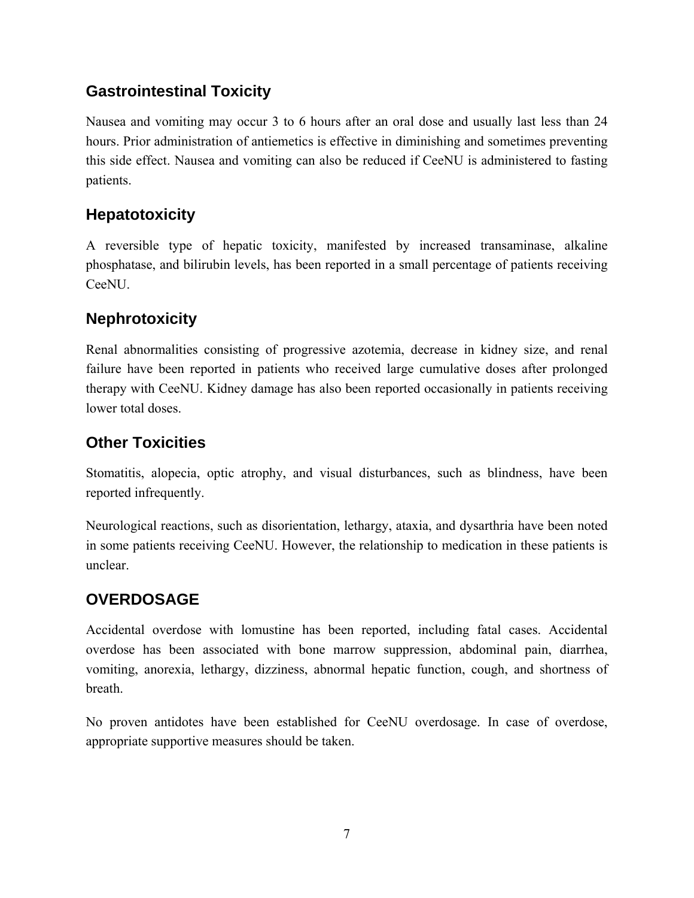## **Gastrointestinal Toxicity**

Nausea and vomiting may occur 3 to 6 hours after an oral dose and usually last less than 24 hours. Prior administration of antiemetics is effective in diminishing and sometimes preventing this side effect. Nausea and vomiting can also be reduced if CeeNU is administered to fasting patients.

## **Hepatotoxicity**

A reversible type of hepatic toxicity, manifested by increased transaminase, alkaline phosphatase, and bilirubin levels, has been reported in a small percentage of patients receiving CeeNU.

## **Nephrotoxicity**

Renal abnormalities consisting of progressive azotemia, decrease in kidney size, and renal failure have been reported in patients who received large cumulative doses after prolonged therapy with CeeNU. Kidney damage has also been reported occasionally in patients receiving lower total doses.

## **Other Toxicities**

Stomatitis, alopecia, optic atrophy, and visual disturbances, such as blindness, have been reported infrequently.

Neurological reactions, such as disorientation, lethargy, ataxia, and dysarthria have been noted in some patients receiving CeeNU. However, the relationship to medication in these patients is unclear.

## **OVERDOSAGE**

Accidental overdose with lomustine has been reported, including fatal cases. Accidental overdose has been associated with bone marrow suppression, abdominal pain, diarrhea, vomiting, anorexia, lethargy, dizziness, abnormal hepatic function, cough, and shortness of breath.

No proven antidotes have been established for CeeNU overdosage. In case of overdose, appropriate supportive measures should be taken.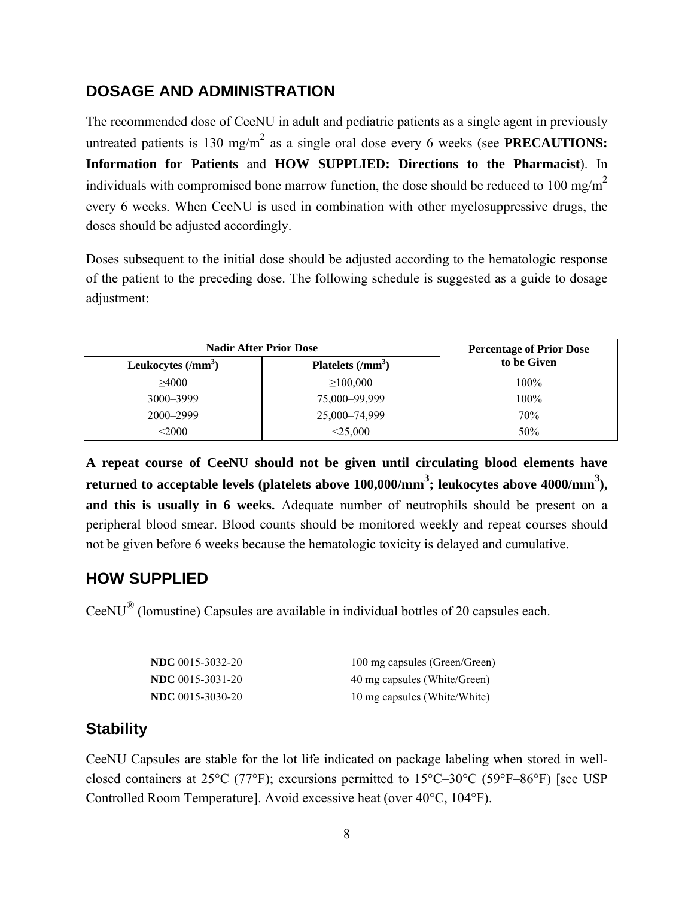#### **DOSAGE AND ADMINISTRATION**

The recommended dose of CeeNU in adult and pediatric patients as a single agent in previously untreated patients is 130 mg/m<sup>2</sup> as a single oral dose every 6 weeks (see **PRECAUTIONS: Information for Patients** and **HOW SUPPLIED: Directions to the Pharmacist**). In individuals with compromised bone marrow function, the dose should be reduced to 100 mg/m<sup>2</sup> every 6 weeks. When CeeNU is used in combination with other myelosuppressive drugs, the doses should be adjusted accordingly.

Doses subsequent to the initial dose should be adjusted according to the hematologic response of the patient to the preceding dose. The following schedule is suggested as a guide to dosage adjustment:

| <b>Nadir After Prior Dose</b> |                    | <b>Percentage of Prior Dose</b> |
|-------------------------------|--------------------|---------------------------------|
| Leukocytes $(mm3)$            | Platelets $(lmm3)$ | to be Given                     |
| >4000                         | $\geq 100,000$     | 100%                            |
| 3000-3999                     | 75,000-99,999      | 100%                            |
| 2000-2999                     | 25,000-74,999      | 70%                             |
| $<$ 2000                      | $<$ 25,000         | 50%                             |

**A repeat course of CeeNU should not be given until circulating blood elements have returned to acceptable levels (platelets above 100,000/mm<sup>3</sup> ; leukocytes above 4000/mm3 ), and this is usually in 6 weeks.** Adequate number of neutrophils should be present on a peripheral blood smear. Blood counts should be monitored weekly and repeat courses should not be given before 6 weeks because the hematologic toxicity is delayed and cumulative.

#### **HOW SUPPLIED**

CeeNU® (lomustine) Capsules are available in individual bottles of 20 capsules each.

| <b>NDC</b> 0015-3032-20 | 100 mg capsules (Green/Green) |
|-------------------------|-------------------------------|
| <b>NDC</b> 0015-3031-20 | 40 mg capsules (White/Green)  |
| <b>NDC</b> 0015-3030-20 | 10 mg capsules (White/White)  |

#### **Stability**

CeeNU Capsules are stable for the lot life indicated on package labeling when stored in wellclosed containers at 25°C (77°F); excursions permitted to 15°C–30°C (59°F–86°F) [see USP Controlled Room Temperature]. Avoid excessive heat (over 40°C, 104°F).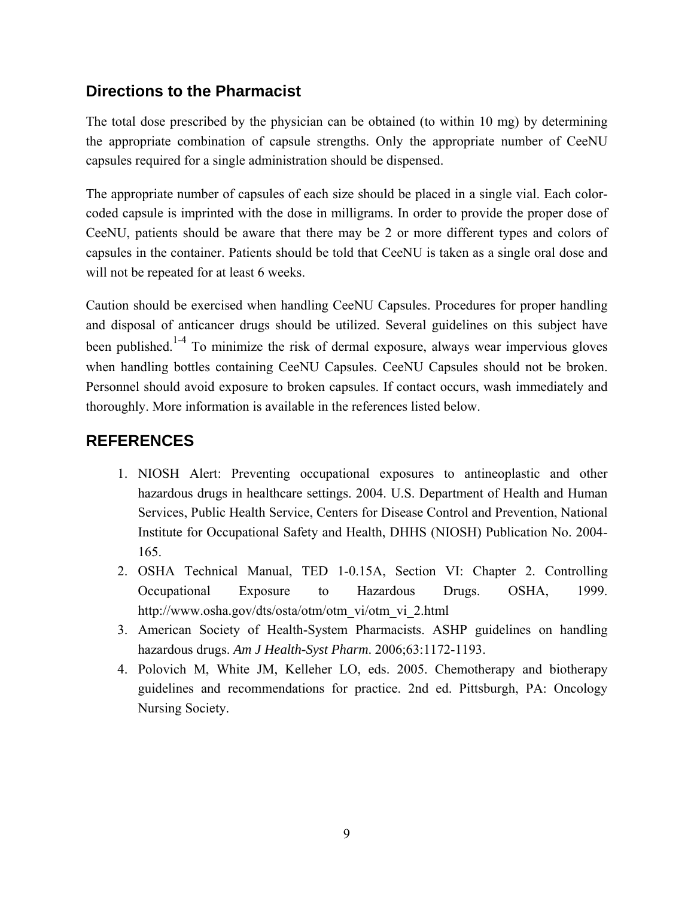## **Directions to the Pharmacist**

The total dose prescribed by the physician can be obtained (to within 10 mg) by determining the appropriate combination of capsule strengths. Only the appropriate number of CeeNU capsules required for a single administration should be dispensed.

The appropriate number of capsules of each size should be placed in a single vial. Each colorcoded capsule is imprinted with the dose in milligrams. In order to provide the proper dose of CeeNU, patients should be aware that there may be 2 or more different types and colors of capsules in the container. Patients should be told that CeeNU is taken as a single oral dose and will not be repeated for at least 6 weeks.

Caution should be exercised when handling CeeNU Capsules. Procedures for proper handling and disposal of anticancer drugs should be utilized. Several guidelines on this subject have been published.<sup>1-4</sup> To minimize the risk of dermal exposure, always wear impervious gloves when handling bottles containing CeeNU Capsules. CeeNU Capsules should not be broken. Personnel should avoid exposure to broken capsules. If contact occurs, wash immediately and thoroughly. More information is available in the references listed below.

# **REFERENCES**

- 1. NIOSH Alert: Preventing occupational exposures to antineoplastic and other hazardous drugs in healthcare settings. 2004. U.S. Department of Health and Human Services, Public Health Service, Centers for Disease Control and Prevention, National Institute for Occupational Safety and Health, DHHS (NIOSH) Publication No. 2004- 165.
- 2. OSHA Technical Manual, TED 1-0.15A, Section VI: Chapter 2. Controlling Occupational Exposure to Hazardous Drugs. OSHA, 1999. http://www.osha.gov/dts/osta/otm/otm\_vi/otm\_vi\_2.html
- 3. American Society of Health-System Pharmacists. ASHP guidelines on handling hazardous drugs. *Am J Health-Syst Pharm*. 2006;63:1172-1193.
- 4. Polovich M, White JM, Kelleher LO, eds. 2005. Chemotherapy and biotherapy guidelines and recommendations for practice. 2nd ed. Pittsburgh, PA: Oncology Nursing Society.